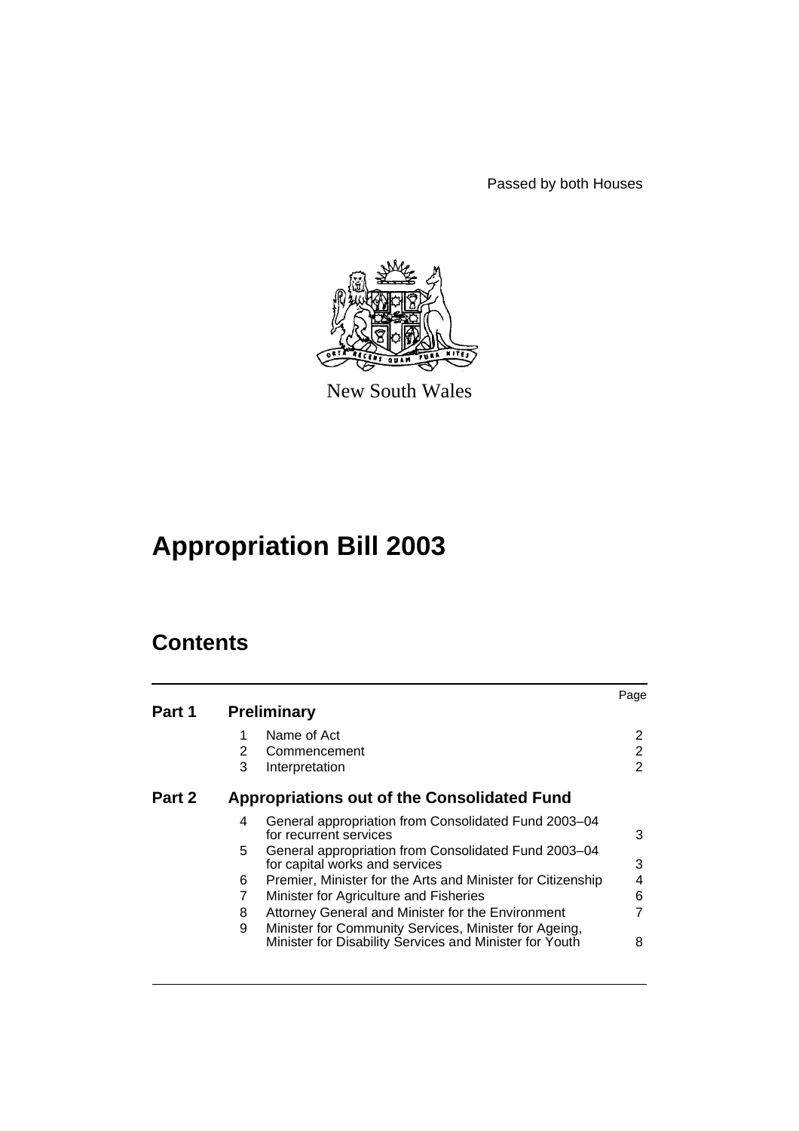Passed by both Houses



New South Wales

# **Appropriation Bill 2003**

# **Contents**

|        |   |                                                                                                                  | Page |
|--------|---|------------------------------------------------------------------------------------------------------------------|------|
| Part 1 |   | <b>Preliminary</b>                                                                                               |      |
|        | 1 | Name of Act                                                                                                      | 2    |
|        | 2 | Commencement                                                                                                     | 2    |
|        | 3 | Interpretation                                                                                                   | 2    |
| Part 2 |   | <b>Appropriations out of the Consolidated Fund</b>                                                               |      |
|        | 4 | General appropriation from Consolidated Fund 2003-04<br>for recurrent services                                   | 3    |
|        | 5 | General appropriation from Consolidated Fund 2003-04<br>for capital works and services                           | 3    |
|        | 6 | Premier, Minister for the Arts and Minister for Citizenship                                                      | 4    |
|        |   | Minister for Agriculture and Fisheries                                                                           | 6    |
|        | 8 | Attorney General and Minister for the Environment                                                                | 7    |
|        | 9 | Minister for Community Services, Minister for Ageing,<br>Minister for Disability Services and Minister for Youth | 8    |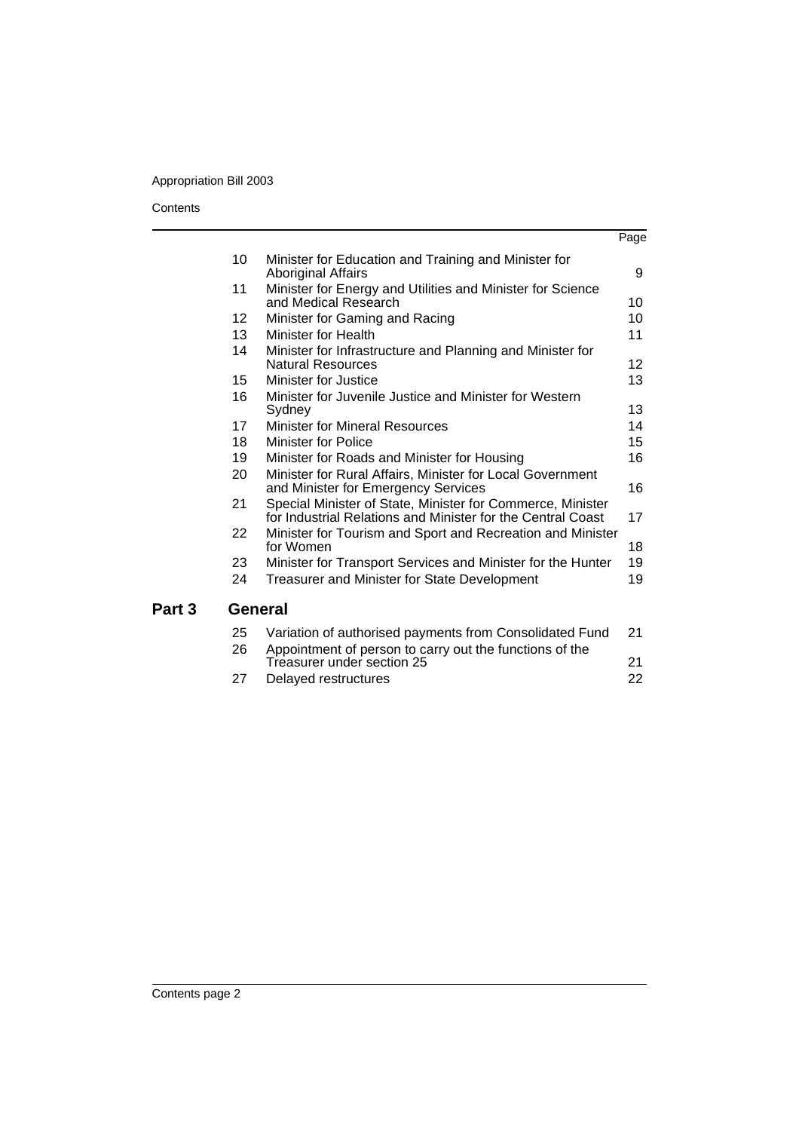# Appropriation Bill 2003

### **Contents**

|        |                   |                                                                                                                           | Page            |
|--------|-------------------|---------------------------------------------------------------------------------------------------------------------------|-----------------|
|        | 10                | Minister for Education and Training and Minister for<br><b>Aboriginal Affairs</b>                                         | 9               |
|        | 11                | Minister for Energy and Utilities and Minister for Science<br>and Medical Research                                        | 10              |
|        | $12 \overline{ }$ | Minister for Gaming and Racing                                                                                            | 10              |
|        | 13                | Minister for Health                                                                                                       | 11              |
|        | 14                | Minister for Infrastructure and Planning and Minister for<br><b>Natural Resources</b>                                     | 12 <sup>2</sup> |
|        | 15                | Minister for Justice                                                                                                      | 13              |
|        | 16                | Minister for Juvenile Justice and Minister for Western<br>Sydney                                                          | 13              |
|        | 17                | <b>Minister for Mineral Resources</b>                                                                                     | 14              |
|        | 18                | Minister for Police                                                                                                       | 15              |
|        | 19                | Minister for Roads and Minister for Housing                                                                               | 16              |
|        | 20                | Minister for Rural Affairs, Minister for Local Government<br>and Minister for Emergency Services                          | 16              |
|        | 21                | Special Minister of State, Minister for Commerce, Minister<br>for Industrial Relations and Minister for the Central Coast | 17              |
|        | 22                | Minister for Tourism and Sport and Recreation and Minister<br>for Women                                                   | 18              |
|        | 23                | Minister for Transport Services and Minister for the Hunter                                                               | 19              |
|        | 24                | <b>Treasurer and Minister for State Development</b>                                                                       | 19              |
| Part 3 | <b>General</b>    |                                                                                                                           |                 |
|        | 25<br>26          | Variation of authorised payments from Consolidated Fund<br>Appointment of person to carry out the functions of the        | 21              |
|        |                   | Treasurer under section 25                                                                                                | 21              |

[27 Delayed restructures 22](#page-23-0)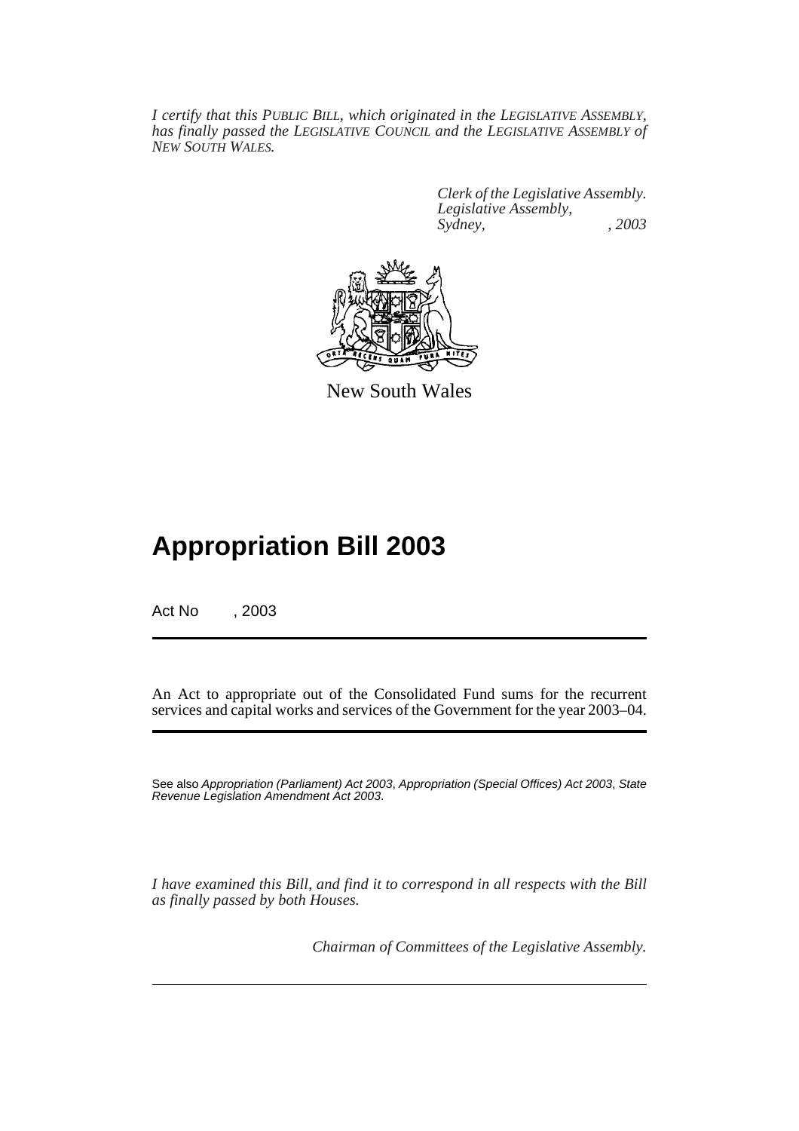*I certify that this PUBLIC BILL, which originated in the LEGISLATIVE ASSEMBLY, has finally passed the LEGISLATIVE COUNCIL and the LEGISLATIVE ASSEMBLY of NEW SOUTH WALES.*

> *Clerk of the Legislative Assembly. Legislative Assembly, Sydney, , 2003*



New South Wales

# **Appropriation Bill 2003**

Act No , 2003

An Act to appropriate out of the Consolidated Fund sums for the recurrent services and capital works and services of the Government for the year 2003–04.

See also Appropriation (Parliament) Act 2003, Appropriation (Special Offices) Act 2003, State Revenue Legislation Amendment Act 2003.

*I have examined this Bill, and find it to correspond in all respects with the Bill as finally passed by both Houses.*

*Chairman of Committees of the Legislative Assembly.*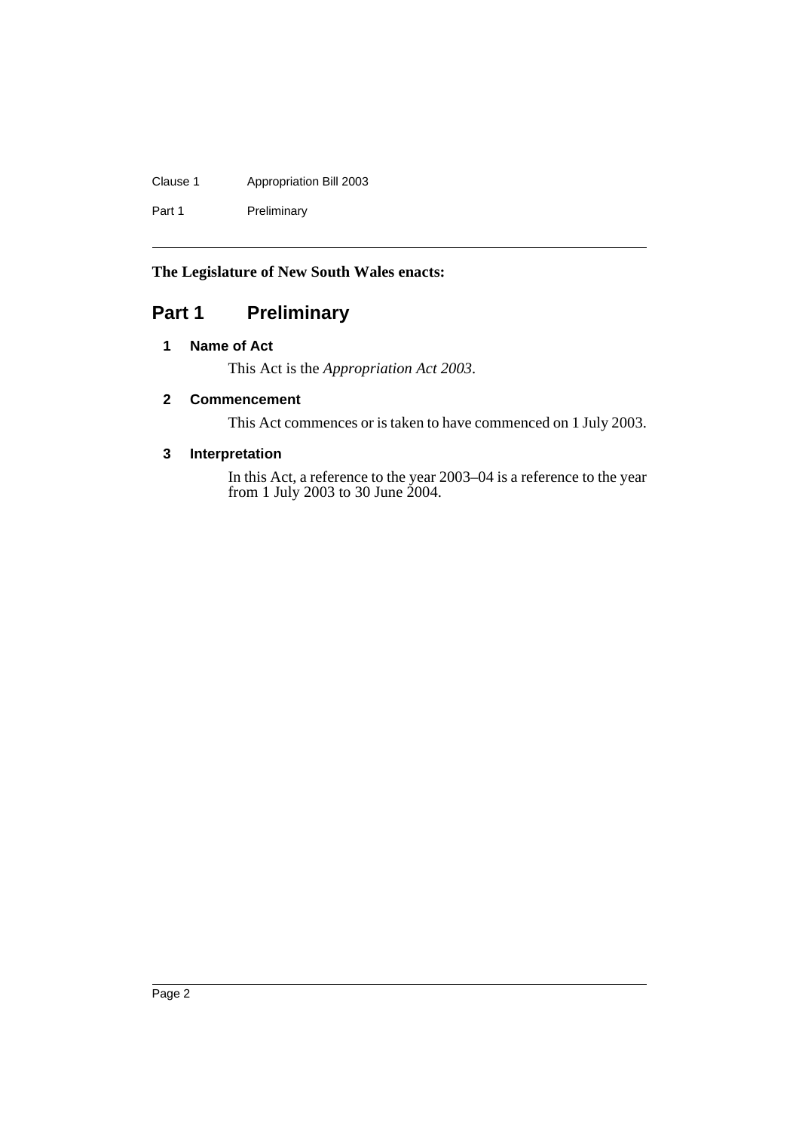# Clause 1 Appropriation Bill 2003

Part 1 Preliminary

# **The Legislature of New South Wales enacts:**

# <span id="page-3-1"></span><span id="page-3-0"></span>**Part 1 Preliminary**

## **1 Name of Act**

This Act is the *Appropriation Act 2003*.

# <span id="page-3-2"></span>**2 Commencement**

This Act commences or is taken to have commenced on 1 July 2003.

## <span id="page-3-3"></span>**3 Interpretation**

In this Act, a reference to the year 2003–04 is a reference to the year from 1 July 2003 to 30 June 2004.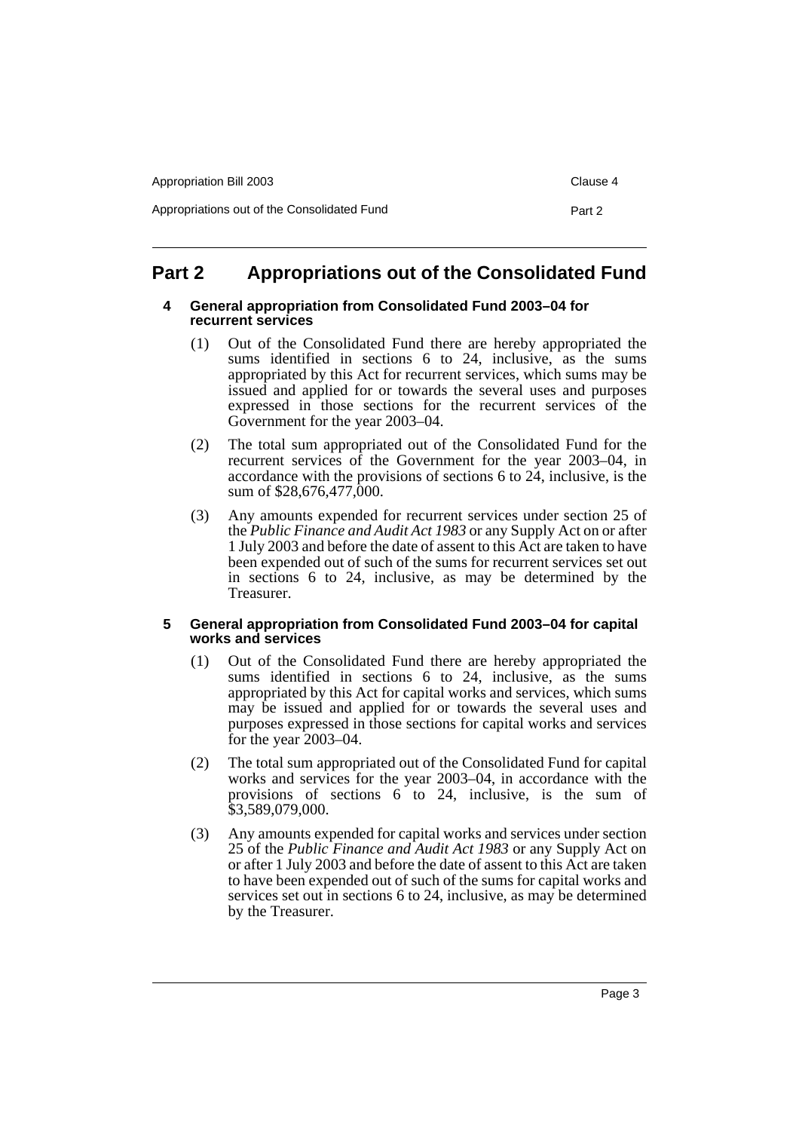| Appropriation Bill 2003                     | Clause 4 |
|---------------------------------------------|----------|
| Appropriations out of the Consolidated Fund | Part 2   |

# <span id="page-4-1"></span><span id="page-4-0"></span>**Part 2 Appropriations out of the Consolidated Fund**

## **4 General appropriation from Consolidated Fund 2003–04 for recurrent services**

- (1) Out of the Consolidated Fund there are hereby appropriated the sums identified in sections 6 to 24, inclusive, as the sums appropriated by this Act for recurrent services, which sums may be issued and applied for or towards the several uses and purposes expressed in those sections for the recurrent services of the Government for the year 2003–04.
- (2) The total sum appropriated out of the Consolidated Fund for the recurrent services of the Government for the year 2003–04, in accordance with the provisions of sections 6 to 24, inclusive, is the sum of \$28,676,477,000.
- (3) Any amounts expended for recurrent services under section 25 of the *Public Finance and Audit Act 1983* or any Supply Act on or after 1 July 2003 and before the date of assent to this Act are taken to have been expended out of such of the sums for recurrent services set out in sections 6 to 24, inclusive, as may be determined by the Treasurer.

## <span id="page-4-2"></span>**5 General appropriation from Consolidated Fund 2003–04 for capital works and services**

- (1) Out of the Consolidated Fund there are hereby appropriated the sums identified in sections 6 to 24, inclusive, as the sums appropriated by this Act for capital works and services, which sums may be issued and applied for or towards the several uses and purposes expressed in those sections for capital works and services for the year 2003–04.
- (2) The total sum appropriated out of the Consolidated Fund for capital works and services for the year 2003–04, in accordance with the provisions of sections 6 to 24, inclusive, is the sum of \$3,589,079,000.
- (3) Any amounts expended for capital works and services under section 25 of the *Public Finance and Audit Act 1983* or any Supply Act on or after 1 July 2003 and before the date of assent to this Act are taken to have been expended out of such of the sums for capital works and services set out in sections 6 to 24, inclusive, as may be determined by the Treasurer.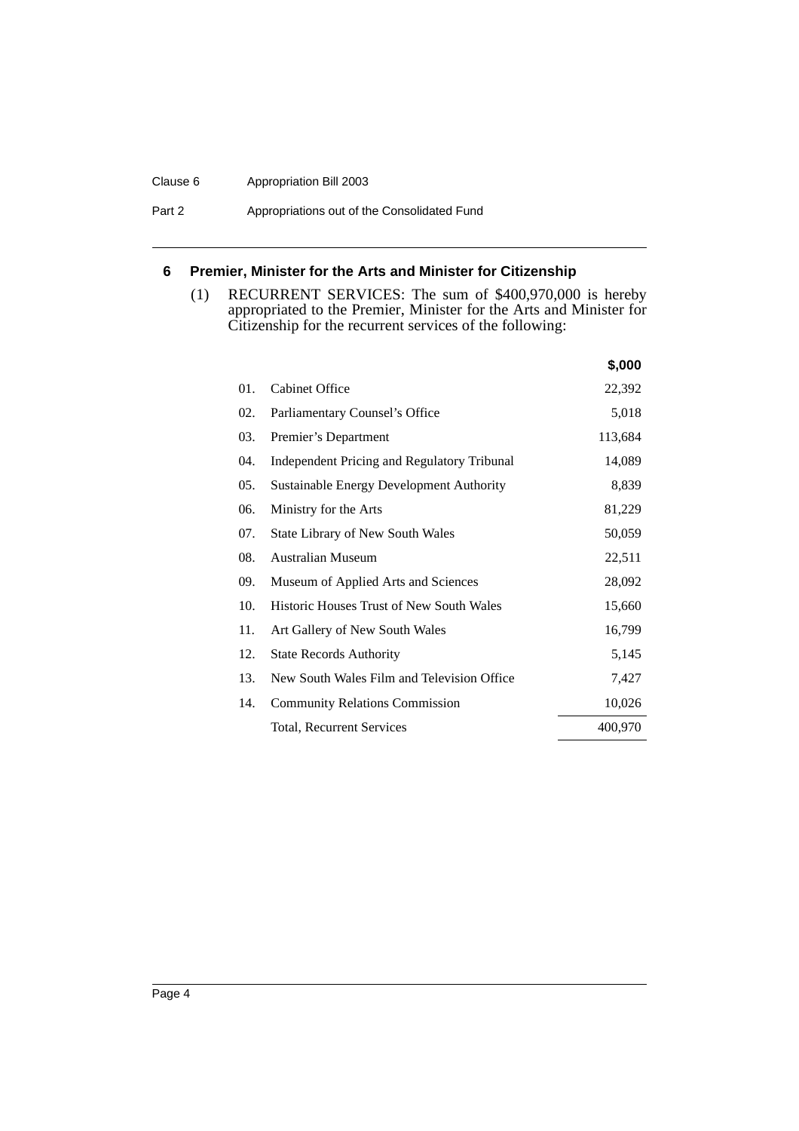#### Clause 6 Appropriation Bill 2003

Part 2 **Appropriations out of the Consolidated Fund** 

## <span id="page-5-0"></span>**6 Premier, Minister for the Arts and Minister for Citizenship**

(1) RECURRENT SERVICES: The sum of \$400,970,000 is hereby appropriated to the Premier, Minister for the Arts and Minister for Citizenship for the recurrent services of the following:

|     |                                                 | \$,000  |
|-----|-------------------------------------------------|---------|
| 01. | <b>Cabinet Office</b>                           | 22,392  |
| 02. | Parliamentary Counsel's Office                  | 5,018   |
| 03. | Premier's Department                            | 113,684 |
| 04. | Independent Pricing and Regulatory Tribunal     | 14,089  |
| 05. | Sustainable Energy Development Authority        | 8,839   |
| 06. | Ministry for the Arts                           | 81,229  |
| 07. | State Library of New South Wales                | 50,059  |
| 08. | Australian Museum                               | 22,511  |
| 09. | Museum of Applied Arts and Sciences             | 28,092  |
| 10. | <b>Historic Houses Trust of New South Wales</b> | 15,660  |
| 11. | Art Gallery of New South Wales                  | 16,799  |
| 12. | <b>State Records Authority</b>                  | 5,145   |
| 13. | New South Wales Film and Television Office      | 7,427   |
| 14. | <b>Community Relations Commission</b>           | 10,026  |
|     | Total, Recurrent Services                       | 400,970 |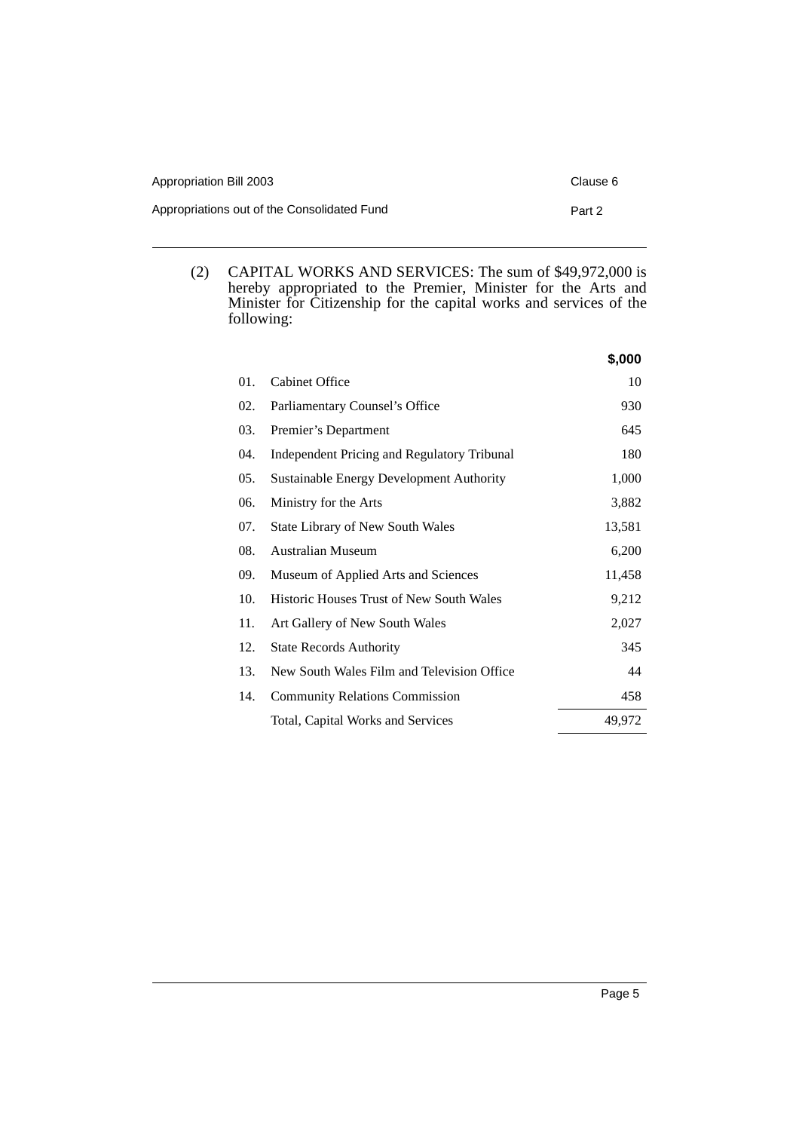| Appropriation Bill 2003                     | Clause 6 |
|---------------------------------------------|----------|
| Appropriations out of the Consolidated Fund | Part 2   |

(2) CAPITAL WORKS AND SERVICES: The sum of \$49,972,000 is hereby appropriated to the Premier, Minister for the Arts and Minister for Citizenship for the capital works and services of the following:

|     |                                                 | \$,000 |
|-----|-------------------------------------------------|--------|
| 01. | <b>Cabinet Office</b>                           | 10     |
| 02. | Parliamentary Counsel's Office                  | 930    |
| 03. | Premier's Department                            | 645    |
| 04. | Independent Pricing and Regulatory Tribunal     | 180    |
| 05. | Sustainable Energy Development Authority        | 1,000  |
| 06. | Ministry for the Arts                           | 3,882  |
| 07. | <b>State Library of New South Wales</b>         | 13,581 |
| 08. | <b>Australian Museum</b>                        | 6,200  |
| 09. | Museum of Applied Arts and Sciences             | 11,458 |
| 10. | <b>Historic Houses Trust of New South Wales</b> | 9,212  |
| 11. | Art Gallery of New South Wales                  | 2,027  |
| 12. | <b>State Records Authority</b>                  | 345    |
| 13. | New South Wales Film and Television Office      | 44     |
| 14. | <b>Community Relations Commission</b>           | 458    |
|     | Total, Capital Works and Services               | 49,972 |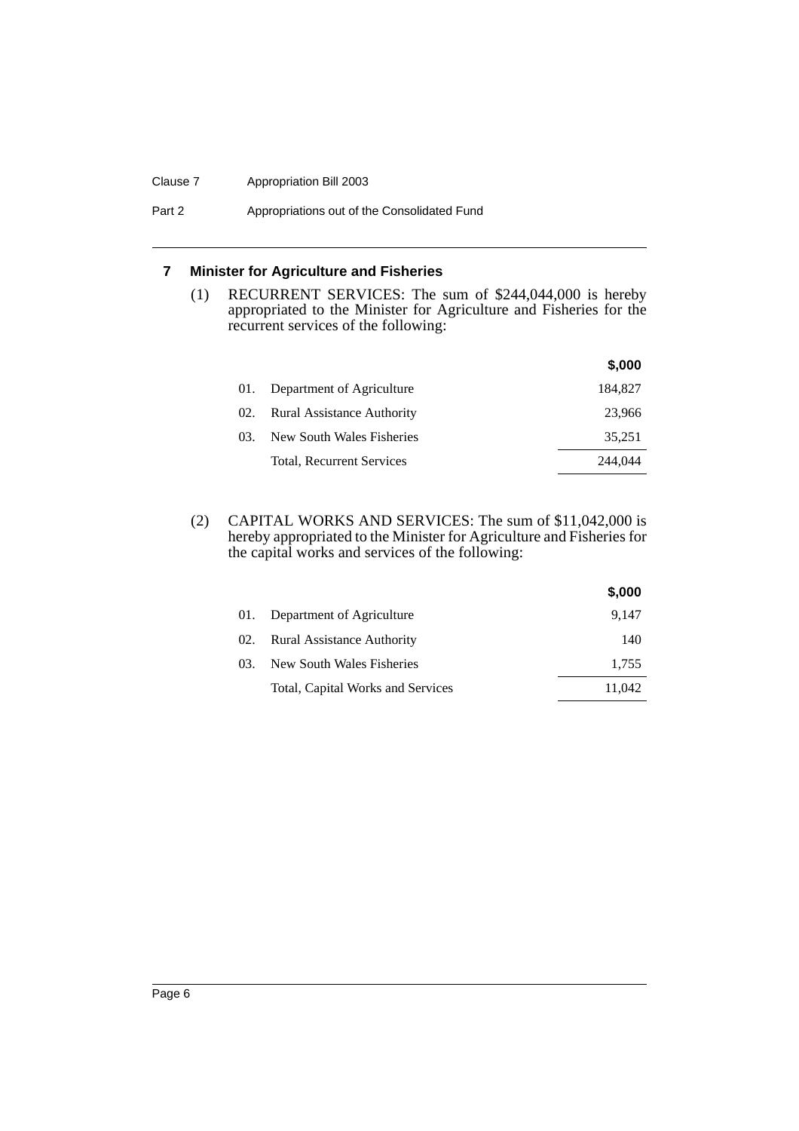#### Clause 7 Appropriation Bill 2003

## Part 2 **Appropriations out of the Consolidated Fund**

# <span id="page-7-0"></span>**7 Minister for Agriculture and Fisheries**

(1) RECURRENT SERVICES: The sum of \$244,044,000 is hereby appropriated to the Minister for Agriculture and Fisheries for the recurrent services of the following:

|     |                                   | \$,000  |
|-----|-----------------------------------|---------|
| 01. | Department of Agriculture         | 184,827 |
| 02. | <b>Rural Assistance Authority</b> | 23,966  |
| 03. | New South Wales Fisheries         | 35,251  |
|     | Total, Recurrent Services         | 244.044 |

(2) CAPITAL WORKS AND SERVICES: The sum of \$11,042,000 is hereby appropriated to the Minister for Agriculture and Fisheries for the capital works and services of the following:

|     |                                   | \$,000 |
|-----|-----------------------------------|--------|
| 01. | Department of Agriculture         | 9.147  |
| 02. | Rural Assistance Authority        | 140    |
| 03. | New South Wales Fisheries         | 1,755  |
|     | Total, Capital Works and Services | 11,042 |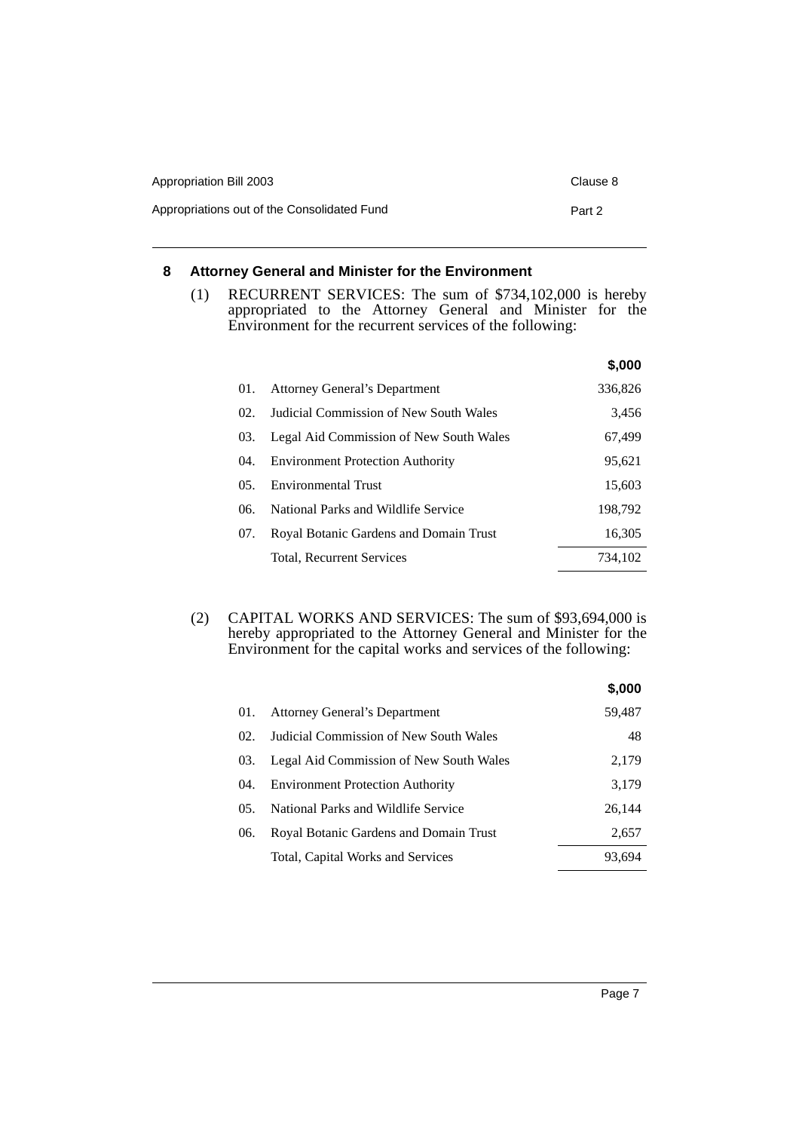| Appropriation Bill 2003                     | Clause 8 |
|---------------------------------------------|----------|
| Appropriations out of the Consolidated Fund | Part 2   |

## <span id="page-8-0"></span>**8 Attorney General and Minister for the Environment**

(1) RECURRENT SERVICES: The sum of \$734,102,000 is hereby appropriated to the Attorney General and Minister for the Environment for the recurrent services of the following:

|                  |                                         | \$,000  |
|------------------|-----------------------------------------|---------|
| 01.              | <b>Attorney General's Department</b>    | 336,826 |
| 02.              | Judicial Commission of New South Wales  | 3,456   |
| 03.              | Legal Aid Commission of New South Wales | 67,499  |
| 04.              | <b>Environment Protection Authority</b> | 95,621  |
| 0.5 <sub>1</sub> | <b>Environmental Trust</b>              | 15,603  |
| 06.              | National Parks and Wildlife Service     | 198.792 |
| 07.              | Royal Botanic Gardens and Domain Trust  | 16,305  |
|                  | Total, Recurrent Services               | 734.102 |

(2) CAPITAL WORKS AND SERVICES: The sum of \$93,694,000 is hereby appropriated to the Attorney General and Minister for the Environment for the capital works and services of the following:

|     |                                         | \$,000 |
|-----|-----------------------------------------|--------|
| 01. | <b>Attorney General's Department</b>    | 59,487 |
| 02. | Judicial Commission of New South Wales  | 48     |
| 03. | Legal Aid Commission of New South Wales | 2,179  |
| 04. | <b>Environment Protection Authority</b> | 3,179  |
| 05. | National Parks and Wildlife Service     | 26,144 |
| 06. | Royal Botanic Gardens and Domain Trust  | 2,657  |
|     | Total, Capital Works and Services       | 93.694 |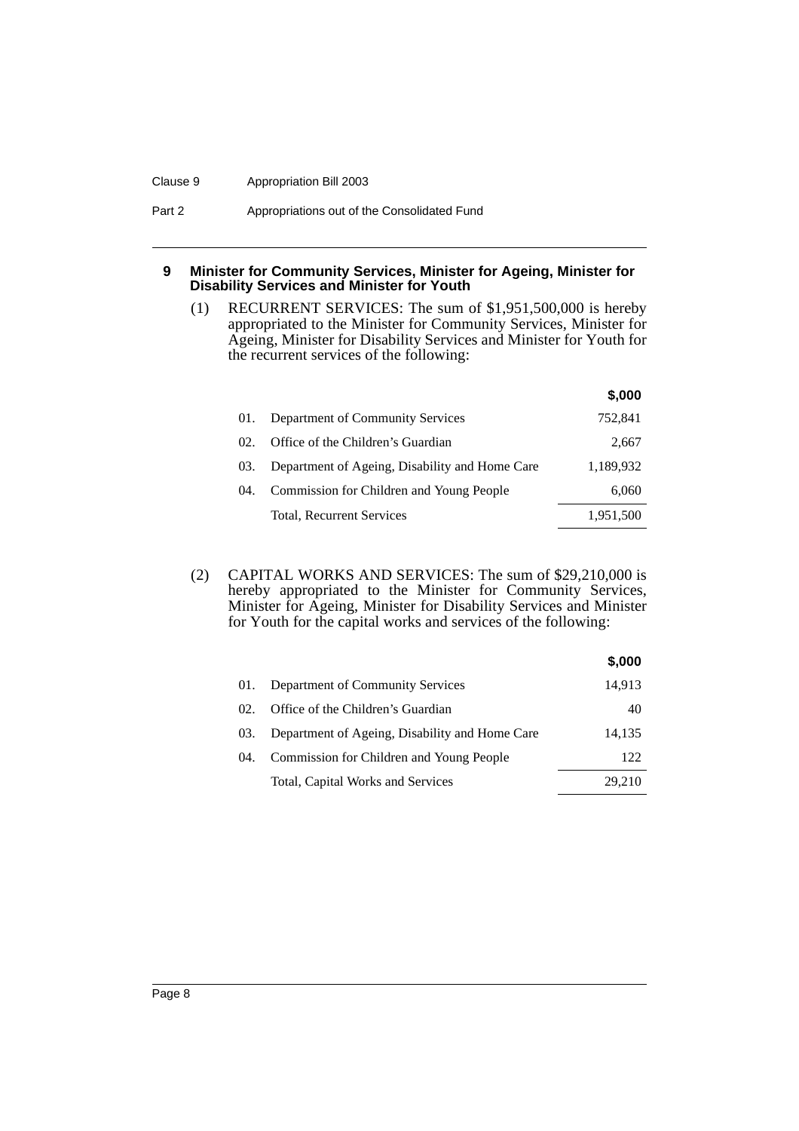#### Clause 9 Appropriation Bill 2003

## Part 2 **Appropriations out of the Consolidated Fund**

### <span id="page-9-0"></span>**9 Minister for Community Services, Minister for Ageing, Minister for Disability Services and Minister for Youth**

(1) RECURRENT SERVICES: The sum of \$1,951,500,000 is hereby appropriated to the Minister for Community Services, Minister for Ageing, Minister for Disability Services and Minister for Youth for the recurrent services of the following:

|       |                                                | J.UUU     |
|-------|------------------------------------------------|-----------|
| 01.   | Department of Community Services               | 752.841   |
| 02.   | Office of the Children's Guardian              | 2,667     |
| 03.   | Department of Ageing, Disability and Home Care | 1,189,932 |
| (1)4. | Commission for Children and Young People       | 6,060     |
|       | Total, Recurrent Services                      | 1,951,500 |

**\$,000**

(2) CAPITAL WORKS AND SERVICES: The sum of \$29,210,000 is hereby appropriated to the Minister for Community Services, Minister for Ageing, Minister for Disability Services and Minister for Youth for the capital works and services of the following:

|      |                                                | \$,000 |
|------|------------------------------------------------|--------|
| 01.  | Department of Community Services               | 14.913 |
| 02.  | Office of the Children's Guardian              | 40     |
| 03.  | Department of Ageing, Disability and Home Care | 14,135 |
| (14) | Commission for Children and Young People       | 122    |
|      | Total, Capital Works and Services              | 29.210 |

Page 8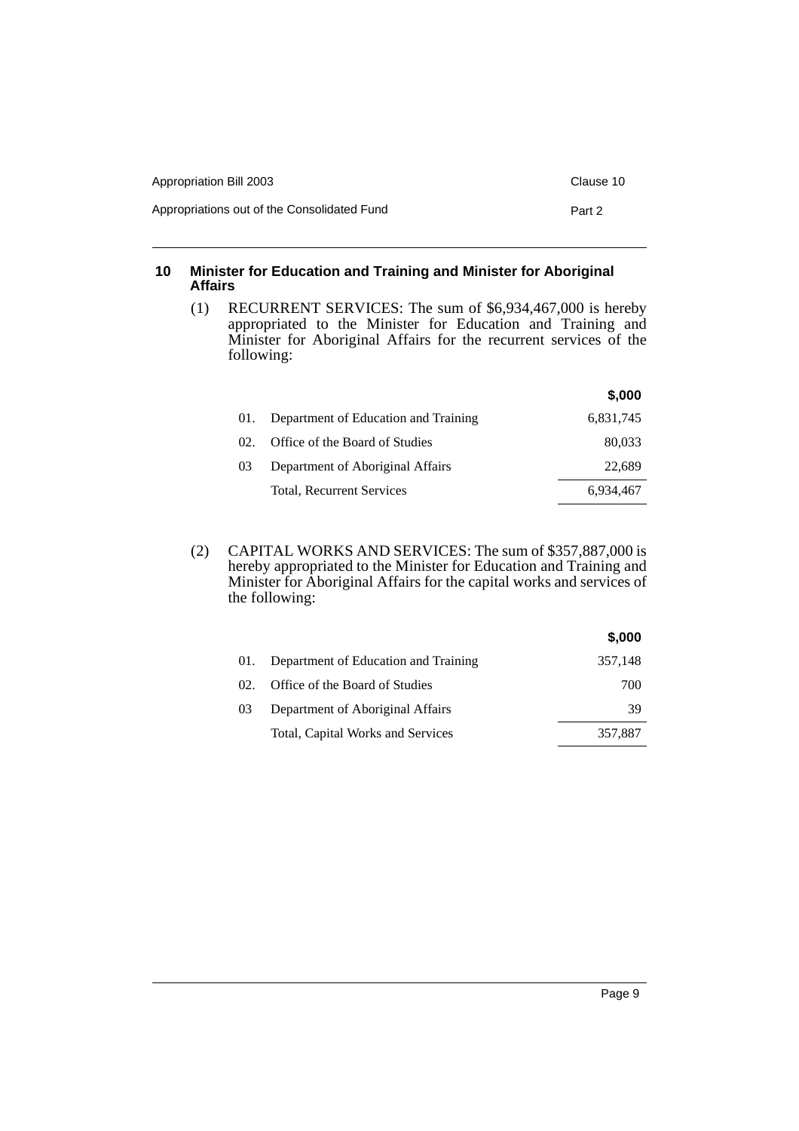| Appropriation Bill 2003                     | Clause 10 |
|---------------------------------------------|-----------|
| Appropriations out of the Consolidated Fund | Part 2    |

## <span id="page-10-0"></span>**10 Minister for Education and Training and Minister for Aboriginal Affairs**

(1) RECURRENT SERVICES: The sum of \$6,934,467,000 is hereby appropriated to the Minister for Education and Training and Minister for Aboriginal Affairs for the recurrent services of the following:

|                 |                                      | \$,000    |
|-----------------|--------------------------------------|-----------|
|                 | Department of Education and Training | 6,831,745 |
| 02 <sub>1</sub> | Office of the Board of Studies       | 80,033    |
| 0 <sup>3</sup>  | Department of Aboriginal Affairs     | 22.689    |
|                 | Total, Recurrent Services            | 6.934.467 |
|                 |                                      |           |

(2) CAPITAL WORKS AND SERVICES: The sum of \$357,887,000 is hereby appropriated to the Minister for Education and Training and Minister for Aboriginal Affairs for the capital works and services of the following:

|     |                                      | \$,000  |
|-----|--------------------------------------|---------|
|     | Department of Education and Training | 357,148 |
| 02. | Office of the Board of Studies       | 700     |
| 03  | Department of Aboriginal Affairs     | 39      |
|     | Total, Capital Works and Services    | 357,887 |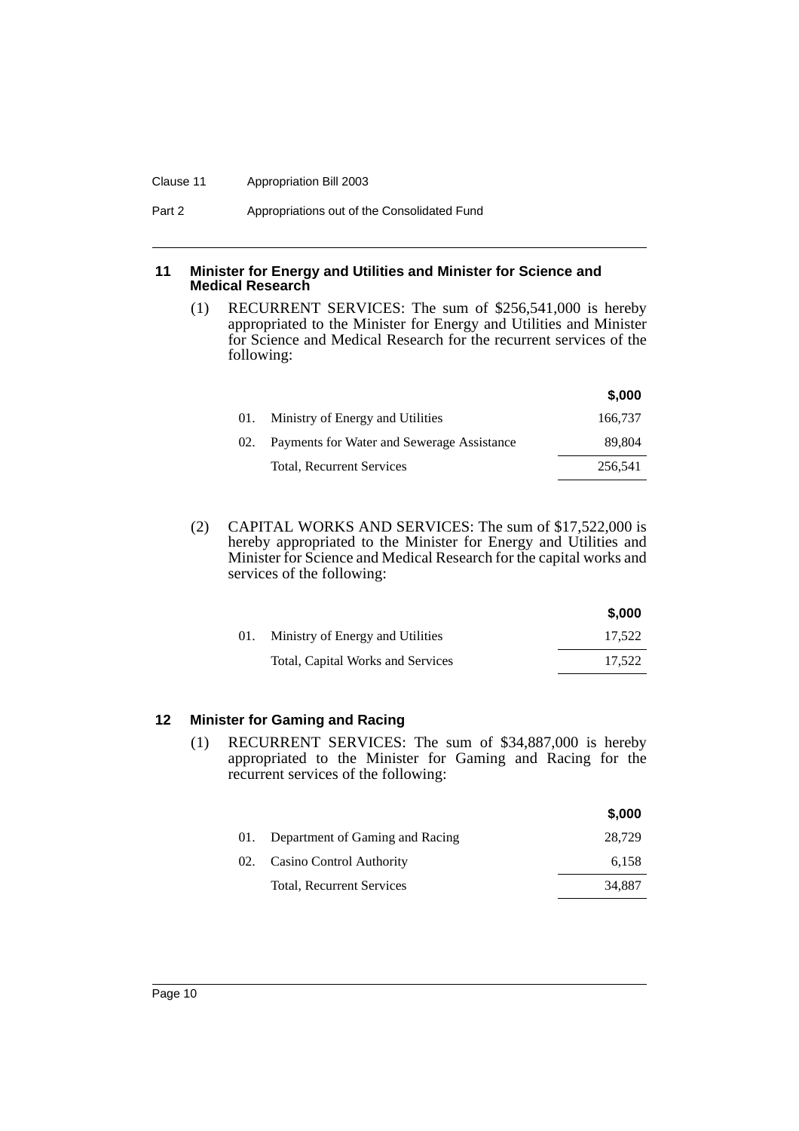#### Clause 11 Appropriation Bill 2003

#### <span id="page-11-0"></span>**11 Minister for Energy and Utilities and Minister for Science and Medical Research**

(1) RECURRENT SERVICES: The sum of \$256,541,000 is hereby appropriated to the Minister for Energy and Utilities and Minister for Science and Medical Research for the recurrent services of the following:

|     |                                            | \$,000  |
|-----|--------------------------------------------|---------|
| 01. | Ministry of Energy and Utilities           | 166,737 |
| 02. | Payments for Water and Sewerage Assistance | 89.804  |
|     | <b>Total, Recurrent Services</b>           | 256,541 |

(2) CAPITAL WORKS AND SERVICES: The sum of \$17,522,000 is hereby appropriated to the Minister for Energy and Utilities and Minister for Science and Medical Research for the capital works and services of the following:

|     |                                   | J.UUU  |
|-----|-----------------------------------|--------|
| 01. | Ministry of Energy and Utilities  | 17.522 |
|     | Total, Capital Works and Services | 17.522 |

**\$,000**

## <span id="page-11-1"></span>**12 Minister for Gaming and Racing**

(1) RECURRENT SERVICES: The sum of \$34,887,000 is hereby appropriated to the Minister for Gaming and Racing for the recurrent services of the following:

|     |                                 | \$,000 |
|-----|---------------------------------|--------|
| 01. | Department of Gaming and Racing | 28,729 |
| 02. | Casino Control Authority        | 6,158  |
|     | Total, Recurrent Services       | 34.887 |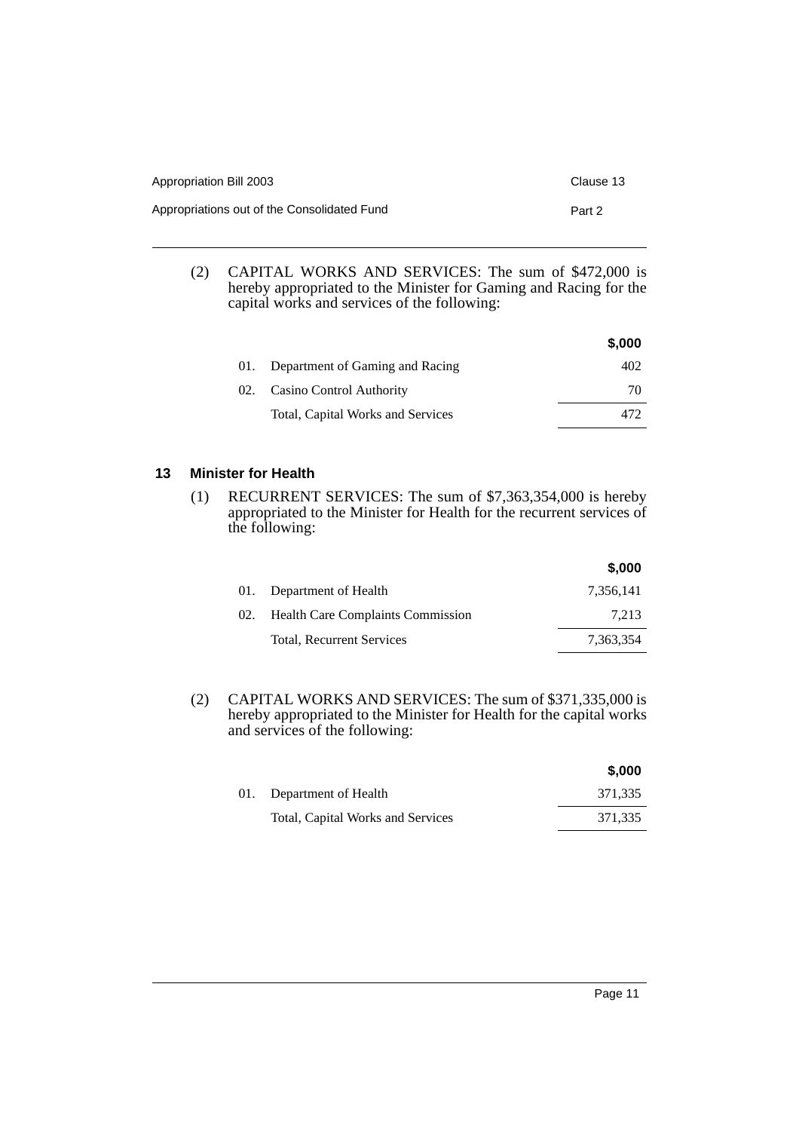| Appropriation Bill 2003                     | Clause 13 |
|---------------------------------------------|-----------|
| Appropriations out of the Consolidated Fund | Part 2    |

(2) CAPITAL WORKS AND SERVICES: The sum of \$472,000 is hereby appropriated to the Minister for Gaming and Racing for the capital works and services of the following:

|     |                                   | \$,000 |
|-----|-----------------------------------|--------|
| 01. | Department of Gaming and Racing   | 402    |
| 02. | Casino Control Authority          | 70     |
|     | Total, Capital Works and Services |        |

## <span id="page-12-0"></span>**13 Minister for Health**

(1) RECURRENT SERVICES: The sum of \$7,363,354,000 is hereby appropriated to the Minister for Health for the recurrent services of the following:

|     |                                          | \$,000    |
|-----|------------------------------------------|-----------|
| 01. | Department of Health                     | 7,356,141 |
| 02. | <b>Health Care Complaints Commission</b> | 7.213     |
|     | Total, Recurrent Services                | 7.363.354 |

(2) CAPITAL WORKS AND SERVICES: The sum of \$371,335,000 is hereby appropriated to the Minister for Health for the capital works and services of the following:

|                                   | \$.000  |
|-----------------------------------|---------|
| 01. Department of Health          | 371,335 |
| Total, Capital Works and Services | 371,335 |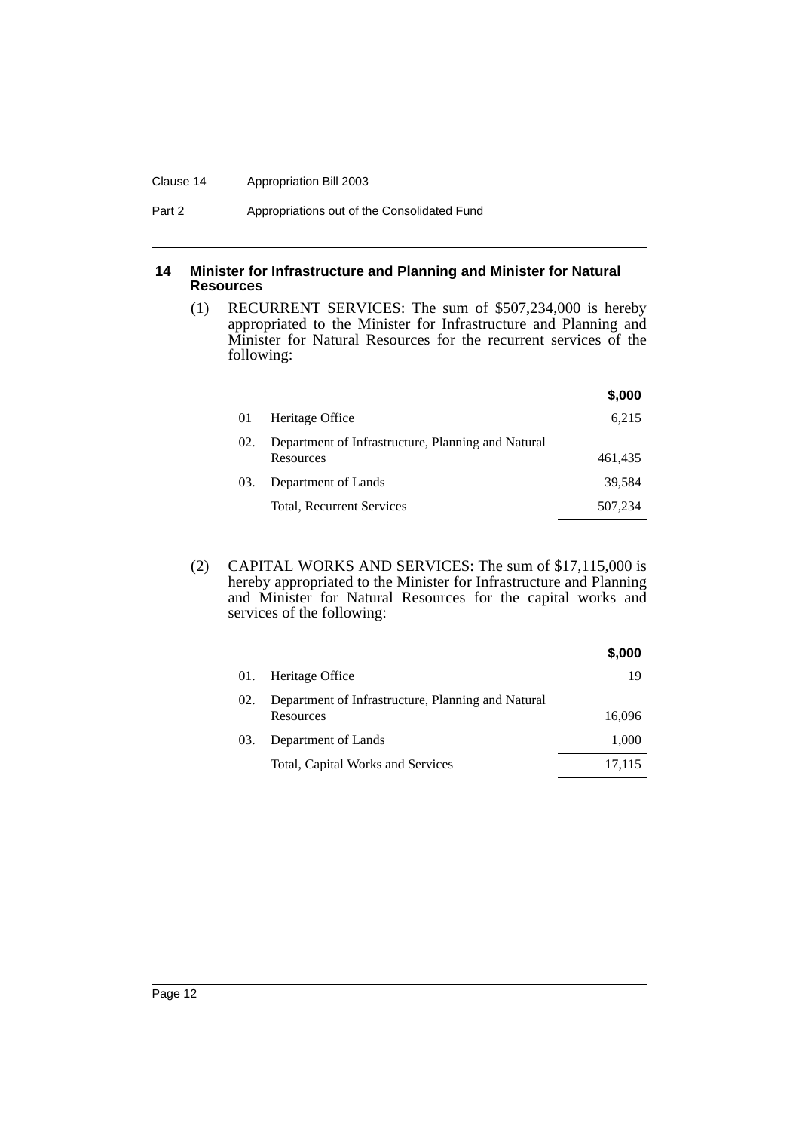#### Clause 14 Appropriation Bill 2003

## <span id="page-13-0"></span>**14 Minister for Infrastructure and Planning and Minister for Natural Resources**

(1) RECURRENT SERVICES: The sum of \$507,234,000 is hereby appropriated to the Minister for Infrastructure and Planning and Minister for Natural Resources for the recurrent services of the following:

|     |                                                                 | \$,000  |
|-----|-----------------------------------------------------------------|---------|
| 01  | Heritage Office                                                 | 6.215   |
| 02. | Department of Infrastructure, Planning and Natural<br>Resources | 461,435 |
| 03. | Department of Lands                                             | 39.584  |
|     | Total, Recurrent Services                                       | 507,234 |

(2) CAPITAL WORKS AND SERVICES: The sum of \$17,115,000 is hereby appropriated to the Minister for Infrastructure and Planning and Minister for Natural Resources for the capital works and services of the following:

|     |                                                                 | \$,000 |
|-----|-----------------------------------------------------------------|--------|
| 01. | Heritage Office                                                 | 19     |
| 02. | Department of Infrastructure, Planning and Natural<br>Resources | 16.096 |
| 03. | Department of Lands                                             | 1,000  |
|     | Total, Capital Works and Services                               | 17,115 |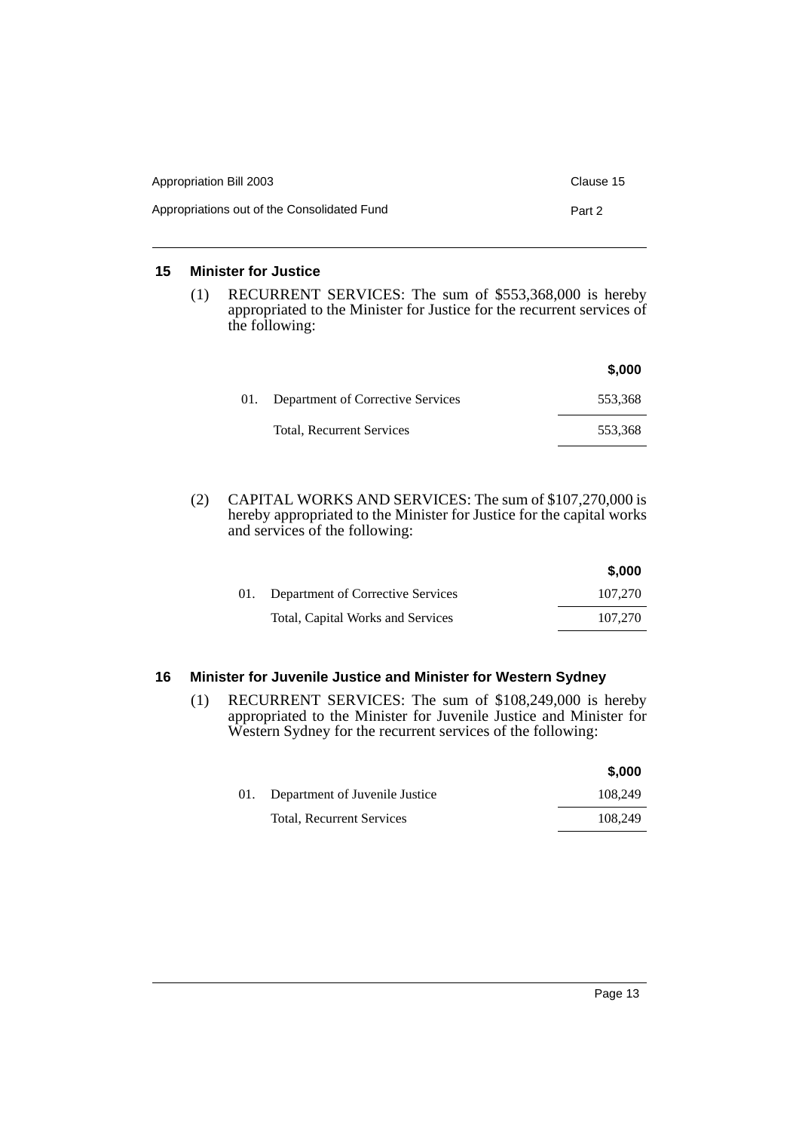| Appropriation Bill 2003                     | Clause 15 |
|---------------------------------------------|-----------|
| Appropriations out of the Consolidated Fund | Part 2    |

## <span id="page-14-0"></span>**15 Minister for Justice**

(1) RECURRENT SERVICES: The sum of \$553,368,000 is hereby appropriated to the Minister for Justice for the recurrent services of the following:

|     |                                   | \$,000  |
|-----|-----------------------------------|---------|
| 01. | Department of Corrective Services | 553,368 |
|     | <b>Total, Recurrent Services</b>  | 553,368 |

(2) CAPITAL WORKS AND SERVICES: The sum of \$107,270,000 is hereby appropriated to the Minister for Justice for the capital works and services of the following:

|                                   | \$,000  |
|-----------------------------------|---------|
| Department of Corrective Services | 107,270 |
| Total, Capital Works and Services | 107,270 |

## <span id="page-14-1"></span>**16 Minister for Juvenile Justice and Minister for Western Sydney**

(1) RECURRENT SERVICES: The sum of \$108,249,000 is hereby appropriated to the Minister for Juvenile Justice and Minister for Western Sydney for the recurrent services of the following:

|                                    | \$,000  |
|------------------------------------|---------|
| 01. Department of Juvenile Justice | 108.249 |
| Total, Recurrent Services          | 108.249 |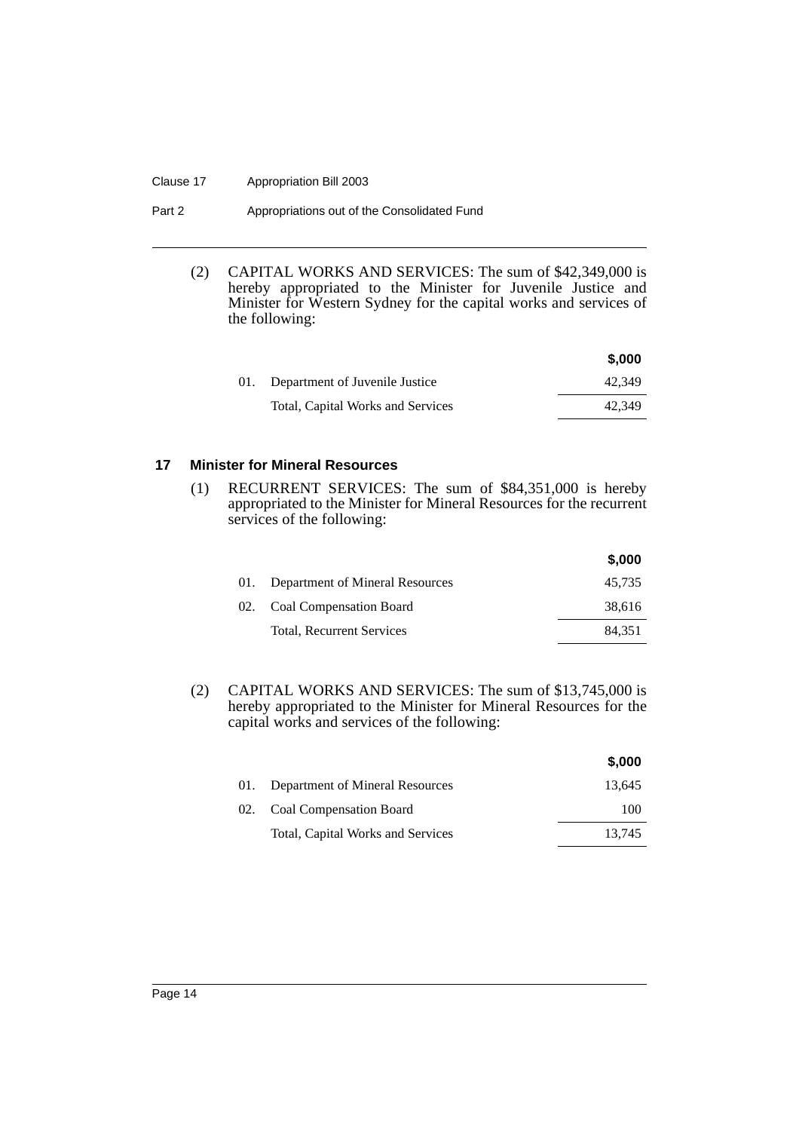#### Clause 17 Appropriation Bill 2003

| Part 2 | Appropriations out of the Consolidated Fund |
|--------|---------------------------------------------|
|--------|---------------------------------------------|

(2) CAPITAL WORKS AND SERVICES: The sum of \$42,349,000 is hereby appropriated to the Minister for Juvenile Justice and Minister for Western Sydney for the capital works and services of the following:

|                                    | \$,000 |
|------------------------------------|--------|
| 01. Department of Juvenile Justice | 42.349 |
| Total, Capital Works and Services  | 42.349 |

## <span id="page-15-0"></span>**17 Minister for Mineral Resources**

(1) RECURRENT SERVICES: The sum of \$84,351,000 is hereby appropriated to the Minister for Mineral Resources for the recurrent services of the following:

|     |                                 | \$,000 |
|-----|---------------------------------|--------|
| 01. | Department of Mineral Resources | 45,735 |
|     | 02. Coal Compensation Board     | 38,616 |
|     | Total, Recurrent Services       | 84,351 |

(2) CAPITAL WORKS AND SERVICES: The sum of \$13,745,000 is hereby appropriated to the Minister for Mineral Resources for the capital works and services of the following:

|     |                                   | \$,000 |
|-----|-----------------------------------|--------|
| 01. | Department of Mineral Resources   | 13.645 |
|     | 02. Coal Compensation Board       | 100    |
|     | Total, Capital Works and Services | 13.745 |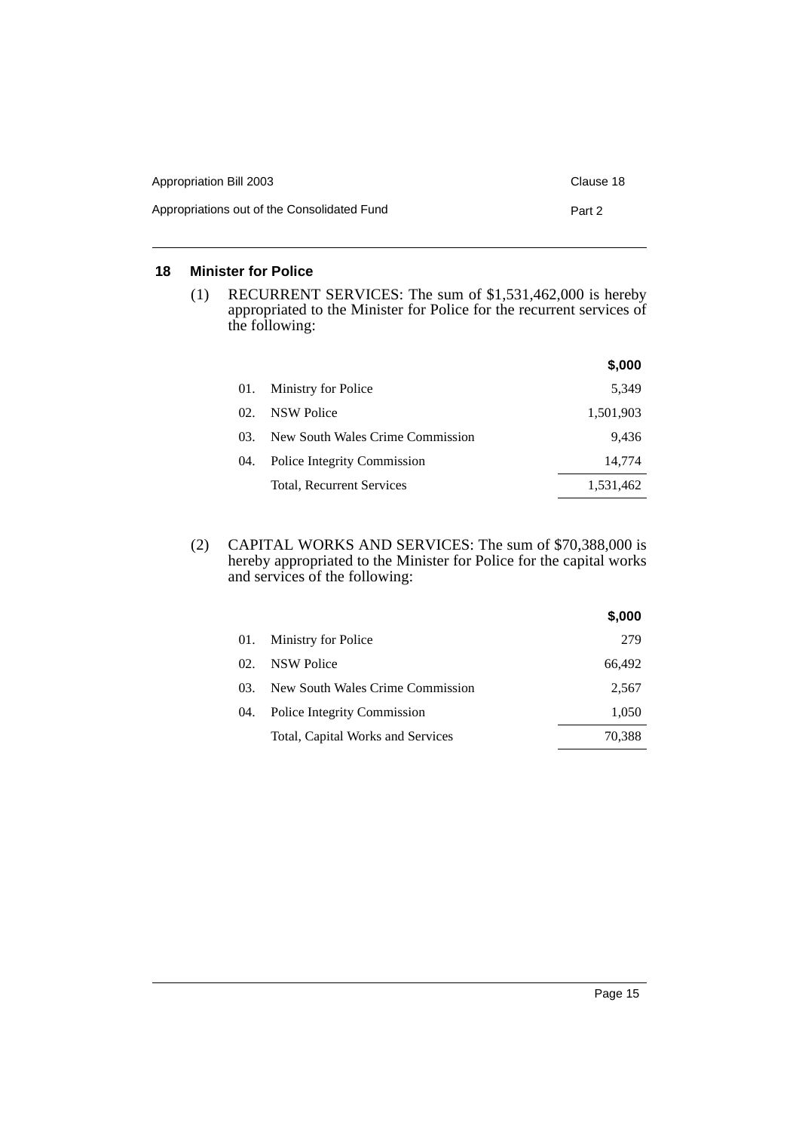| Appropriation Bill 2003                     | Clause 18 |
|---------------------------------------------|-----------|
| Appropriations out of the Consolidated Fund | Part 2    |

## <span id="page-16-0"></span>**18 Minister for Police**

(1) RECURRENT SERVICES: The sum of \$1,531,462,000 is hereby appropriated to the Minister for Police for the recurrent services of the following:

|     |                                  | \$,000    |
|-----|----------------------------------|-----------|
| 01. | Ministry for Police              | 5,349     |
| 02. | NSW Police                       | 1,501,903 |
| 03. | New South Wales Crime Commission | 9.436     |
| 04. | Police Integrity Commission      | 14,774    |
|     | Total, Recurrent Services        | 1,531,462 |

(2) CAPITAL WORKS AND SERVICES: The sum of \$70,388,000 is hereby appropriated to the Minister for Police for the capital works and services of the following:

|          |                                   | \$,000 |
|----------|-----------------------------------|--------|
| 01.      | Ministry for Police               | 279    |
| $\Omega$ | <b>NSW Police</b>                 | 66,492 |
| 03.      | New South Wales Crime Commission  | 2,567  |
| 04.      | Police Integrity Commission       | 1,050  |
|          | Total, Capital Works and Services | 70,388 |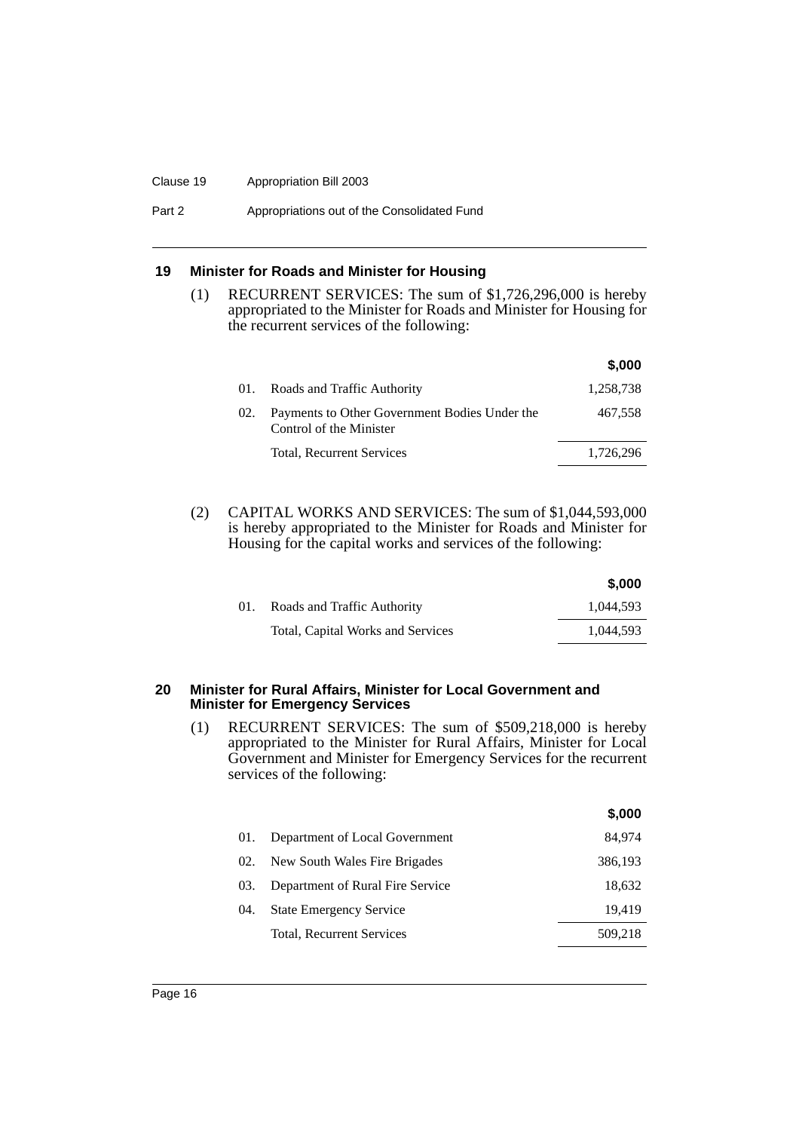#### Clause 19 Appropriation Bill 2003

Part 2 **Appropriations out of the Consolidated Fund** 

## <span id="page-17-0"></span>**19 Minister for Roads and Minister for Housing**

(1) RECURRENT SERVICES: The sum of \$1,726,296,000 is hereby appropriated to the Minister for Roads and Minister for Housing for the recurrent services of the following:

|     |                                                                          | \$,000    |
|-----|--------------------------------------------------------------------------|-----------|
| 01. | Roads and Traffic Authority                                              | 1,258,738 |
| 02. | Payments to Other Government Bodies Under the<br>Control of the Minister | 467,558   |
|     | Total, Recurrent Services                                                | 1,726,296 |

(2) CAPITAL WORKS AND SERVICES: The sum of \$1,044,593,000 is hereby appropriated to the Minister for Roads and Minister for Housing for the capital works and services of the following:

|     |                                   | \$,000    |
|-----|-----------------------------------|-----------|
| 01. | Roads and Traffic Authority       | 1.044.593 |
|     | Total, Capital Works and Services | 1.044.593 |

#### <span id="page-17-1"></span>**20 Minister for Rural Affairs, Minister for Local Government and Minister for Emergency Services**

(1) RECURRENT SERVICES: The sum of \$509,218,000 is hereby appropriated to the Minister for Rural Affairs, Minister for Local Government and Minister for Emergency Services for the recurrent services of the following:

|     |                                  | \$,000  |
|-----|----------------------------------|---------|
| 01. | Department of Local Government   | 84.974  |
| 02. | New South Wales Fire Brigades    | 386,193 |
| 03. | Department of Rural Fire Service | 18,632  |
| 04. | <b>State Emergency Service</b>   | 19,419  |
|     | Total, Recurrent Services        | 509.218 |
|     |                                  |         |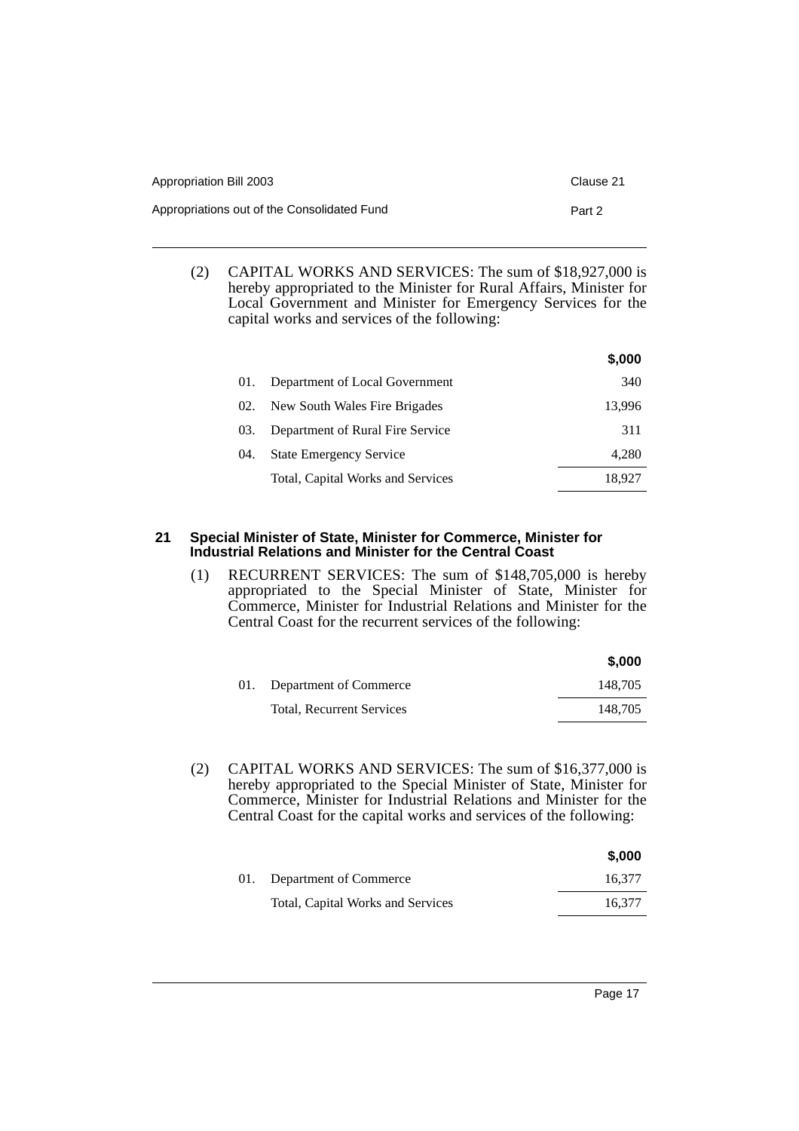| Appropriation Bill 2003                     | Clause 21 |
|---------------------------------------------|-----------|
| Appropriations out of the Consolidated Fund | Part 2    |

(2) CAPITAL WORKS AND SERVICES: The sum of \$18,927,000 is hereby appropriated to the Minister for Rural Affairs, Minister for Local Government and Minister for Emergency Services for the capital works and services of the following:

|     |                                   | \$,000 |
|-----|-----------------------------------|--------|
| 01. | Department of Local Government    | 340    |
| 02. | New South Wales Fire Brigades     | 13,996 |
| 03. | Department of Rural Fire Service  | 311    |
| 04. | <b>State Emergency Service</b>    | 4,280  |
|     | Total, Capital Works and Services | 18.927 |

## <span id="page-18-0"></span>**21 Special Minister of State, Minister for Commerce, Minister for Industrial Relations and Minister for the Central Coast**

(1) RECURRENT SERVICES: The sum of \$148,705,000 is hereby appropriated to the Special Minister of State, Minister for Commerce, Minister for Industrial Relations and Minister for the Central Coast for the recurrent services of the following:

|     |                                  | \$,000  |
|-----|----------------------------------|---------|
| 01. | Department of Commerce           | 148.705 |
|     | <b>Total, Recurrent Services</b> | 148.705 |

(2) CAPITAL WORKS AND SERVICES: The sum of \$16,377,000 is hereby appropriated to the Special Minister of State, Minister for Commerce, Minister for Industrial Relations and Minister for the Central Coast for the capital works and services of the following:

|                                   | \$.000 |
|-----------------------------------|--------|
| 01. Department of Commerce        | 16.377 |
| Total, Capital Works and Services | 16.377 |
|                                   |        |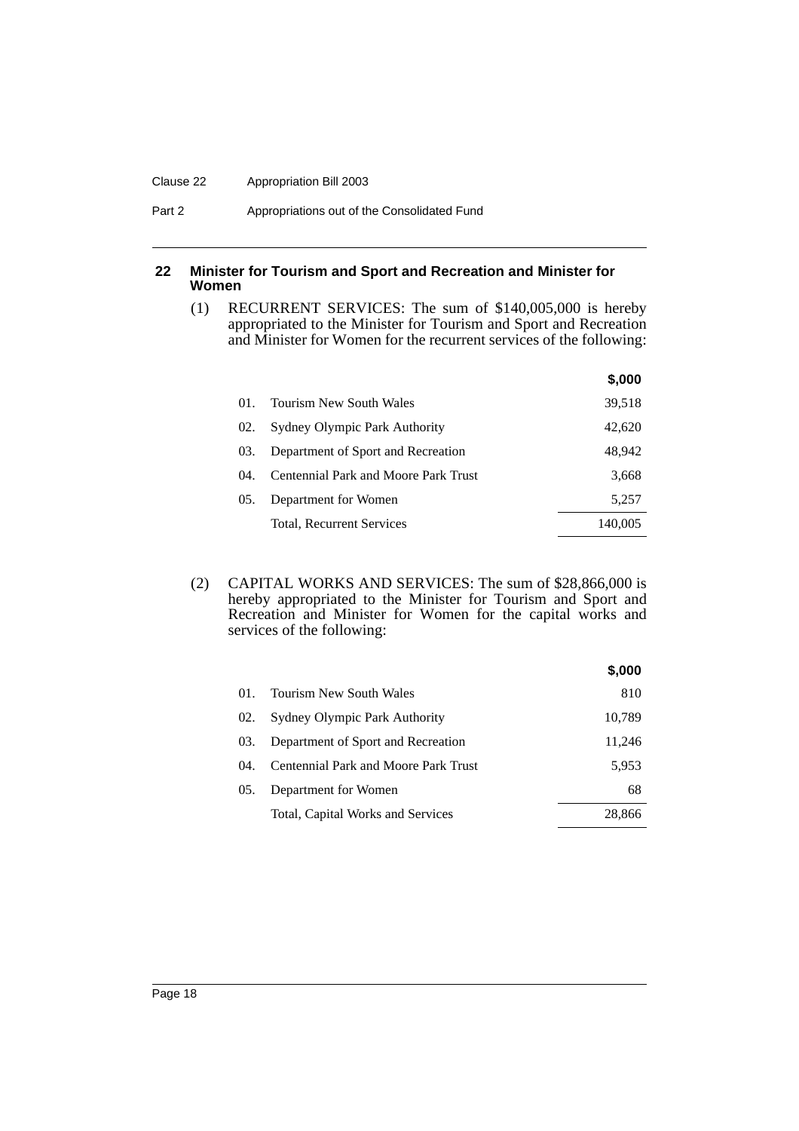#### Clause 22 Appropriation Bill 2003

## <span id="page-19-0"></span>**22 Minister for Tourism and Sport and Recreation and Minister for Women**

(1) RECURRENT SERVICES: The sum of \$140,005,000 is hereby appropriated to the Minister for Tourism and Sport and Recreation and Minister for Women for the recurrent services of the following:

|      |                                             | \$,000  |
|------|---------------------------------------------|---------|
| 01.  | Tourism New South Wales                     | 39,518  |
| 02.  | Sydney Olympic Park Authority               | 42,620  |
| 03.  | Department of Sport and Recreation          | 48,942  |
| (14) | <b>Centennial Park and Moore Park Trust</b> | 3,668   |
| 05.  | Department for Women                        | 5,257   |
|      | Total, Recurrent Services                   | 140,005 |

(2) CAPITAL WORKS AND SERVICES: The sum of \$28,866,000 is hereby appropriated to the Minister for Tourism and Sport and Recreation and Minister for Women for the capital works and services of the following:

|     |                                      | \$,000 |
|-----|--------------------------------------|--------|
| 01. | Tourism New South Wales              | 810    |
| 02. | <b>Sydney Olympic Park Authority</b> | 10,789 |
| 03. | Department of Sport and Recreation   | 11,246 |
| 04. | Centennial Park and Moore Park Trust | 5,953  |
| 05. | Department for Women                 | 68     |
|     | Total, Capital Works and Services    | 28,866 |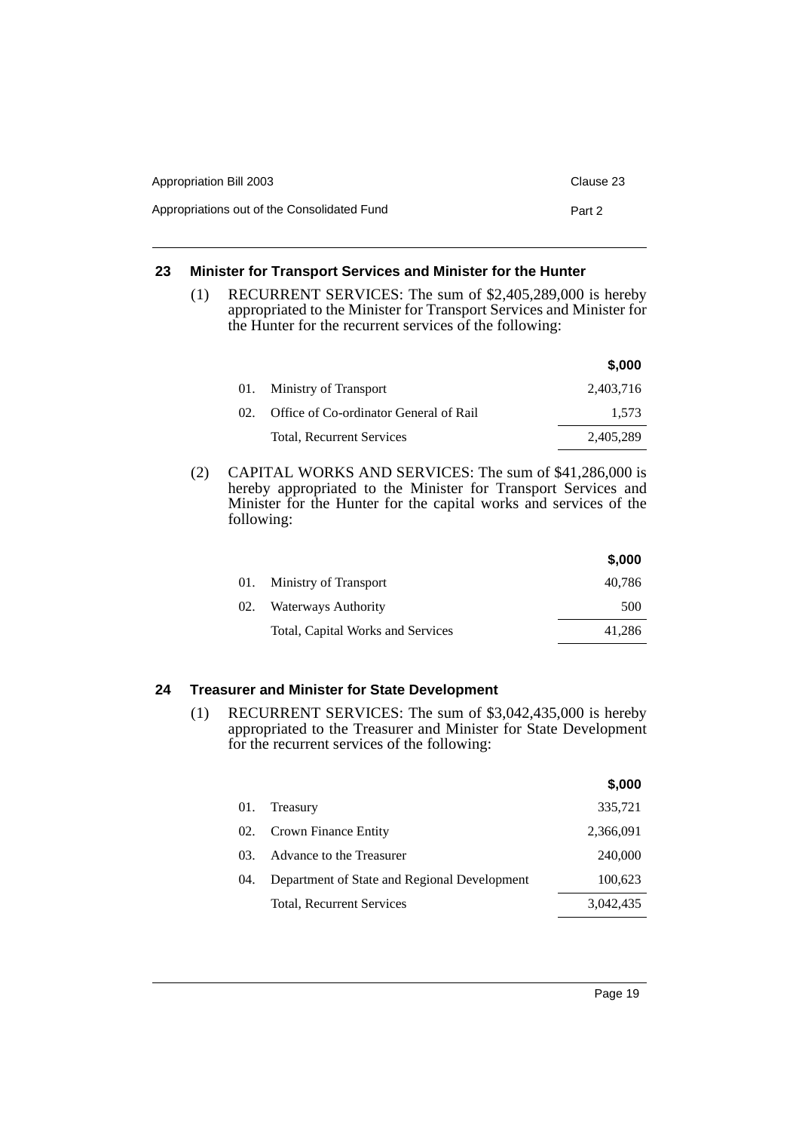| Appropriation Bill 2003                     | Clause 23 |
|---------------------------------------------|-----------|
| Appropriations out of the Consolidated Fund | Part 2    |

## <span id="page-20-0"></span>**23 Minister for Transport Services and Minister for the Hunter**

(1) RECURRENT SERVICES: The sum of \$2,405,289,000 is hereby appropriated to the Minister for Transport Services and Minister for the Hunter for the recurrent services of the following:

|     |                                        | \$,000    |
|-----|----------------------------------------|-----------|
| 01. | Ministry of Transport                  | 2,403,716 |
| 02. | Office of Co-ordinator General of Rail | 1.573     |
|     | Total, Recurrent Services              | 2,405,289 |

(2) CAPITAL WORKS AND SERVICES: The sum of \$41,286,000 is hereby appropriated to the Minister for Transport Services and Minister for the Hunter for the capital works and services of the following:

|     |                                   | \$,000 |
|-----|-----------------------------------|--------|
| 01. | Ministry of Transport             | 40,786 |
| 02. | Waterways Authority               | 500    |
|     | Total, Capital Works and Services | 41,286 |

## <span id="page-20-1"></span>**24 Treasurer and Minister for State Development**

(1) RECURRENT SERVICES: The sum of \$3,042,435,000 is hereby appropriated to the Treasurer and Minister for State Development for the recurrent services of the following:

|       |                                              | \$,000    |
|-------|----------------------------------------------|-----------|
| 01.   | Treasury                                     | 335,721   |
| 02.   | Crown Finance Entity                         | 2,366,091 |
| 03    | Advance to the Treasurer                     | 240,000   |
| (1)4. | Department of State and Regional Development | 100,623   |
|       | <b>Total, Recurrent Services</b>             | 3.042.435 |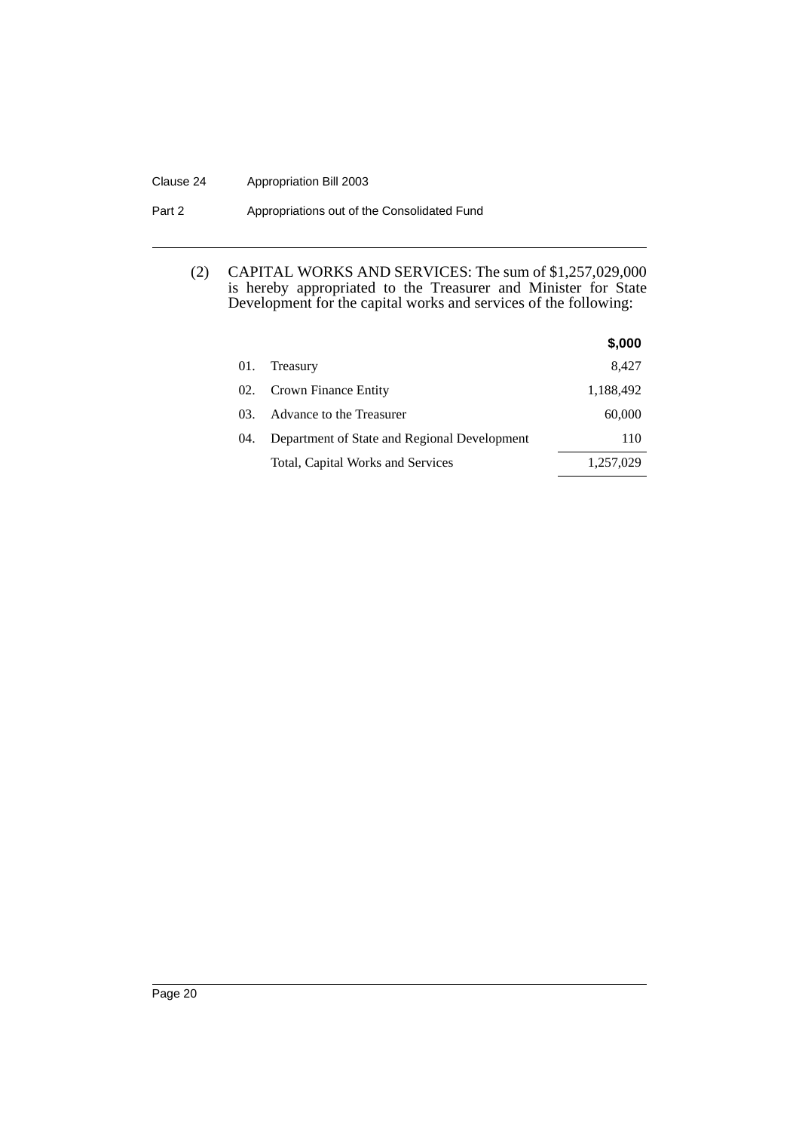## Clause 24 Appropriation Bill 2003

Part 2 **Appropriations out of the Consolidated Fund** 

## (2) CAPITAL WORKS AND SERVICES: The sum of \$1,257,029,000 is hereby appropriated to the Treasurer and Minister for State Development for the capital works and services of the following:

|     |                                              | \$,000    |
|-----|----------------------------------------------|-----------|
| 01. | Treasury                                     | 8,427     |
| 02. | Crown Finance Entity                         | 1,188,492 |
| 03. | Advance to the Treasurer                     | 60,000    |
| 04. | Department of State and Regional Development | 110       |
|     | Total, Capital Works and Services            | 1,257,029 |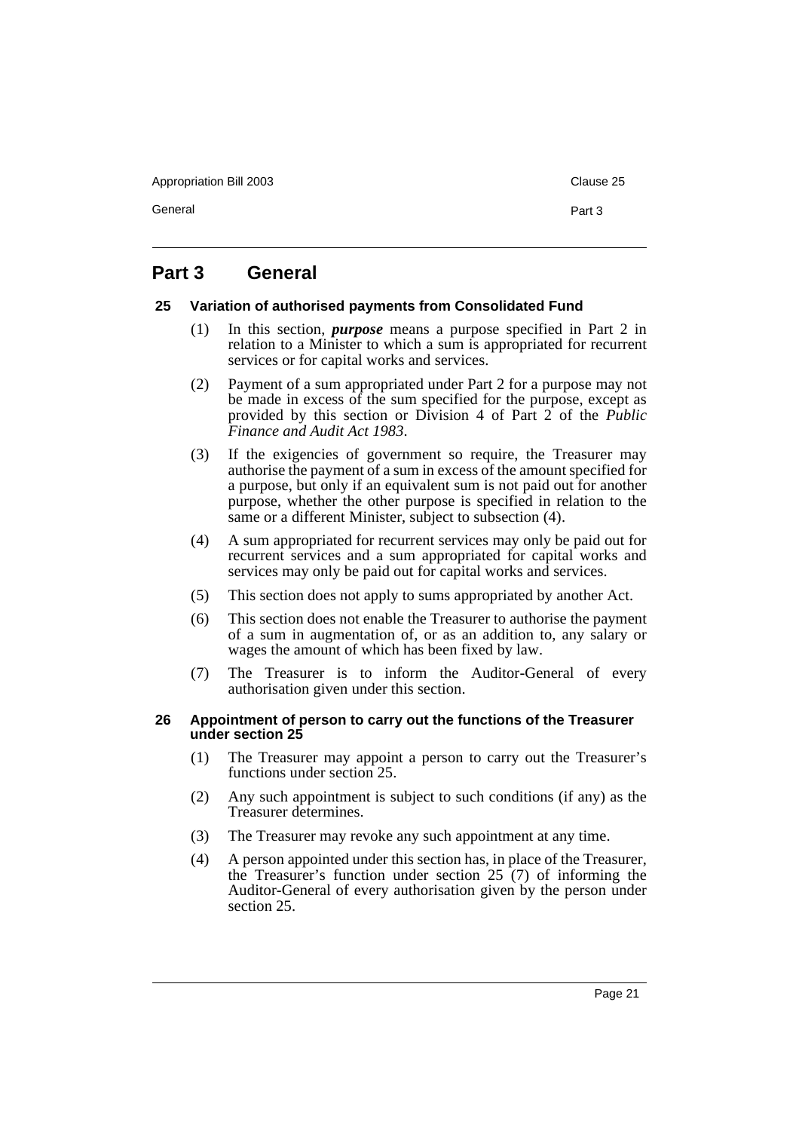Appropriation Bill 2003 **Clause 25** Clause 25

General **Part 3** 

# <span id="page-22-0"></span>**Part 3 General**

## <span id="page-22-1"></span>**25 Variation of authorised payments from Consolidated Fund**

- (1) In this section, *purpose* means a purpose specified in Part 2 in relation to a Minister to which a sum is appropriated for recurrent services or for capital works and services.
- (2) Payment of a sum appropriated under Part 2 for a purpose may not be made in excess of the sum specified for the purpose, except as provided by this section or Division 4 of Part 2 of the *Public Finance and Audit Act 1983*.
- (3) If the exigencies of government so require, the Treasurer may authorise the payment of a sum in excess of the amount specified for a purpose, but only if an equivalent sum is not paid out for another purpose, whether the other purpose is specified in relation to the same or a different Minister, subject to subsection (4).
- (4) A sum appropriated for recurrent services may only be paid out for recurrent services and a sum appropriated for capital works and services may only be paid out for capital works and services.
- (5) This section does not apply to sums appropriated by another Act.
- (6) This section does not enable the Treasurer to authorise the payment of a sum in augmentation of, or as an addition to, any salary or wages the amount of which has been fixed by law.
- (7) The Treasurer is to inform the Auditor-General of every authorisation given under this section.

## <span id="page-22-2"></span>**26 Appointment of person to carry out the functions of the Treasurer under section 25**

- (1) The Treasurer may appoint a person to carry out the Treasurer's functions under section 25.
- (2) Any such appointment is subject to such conditions (if any) as the Treasurer determines.
- (3) The Treasurer may revoke any such appointment at any time.
- (4) A person appointed under this section has, in place of the Treasurer, the Treasurer's function under section 25 (7) of informing the Auditor-General of every authorisation given by the person under section 25.